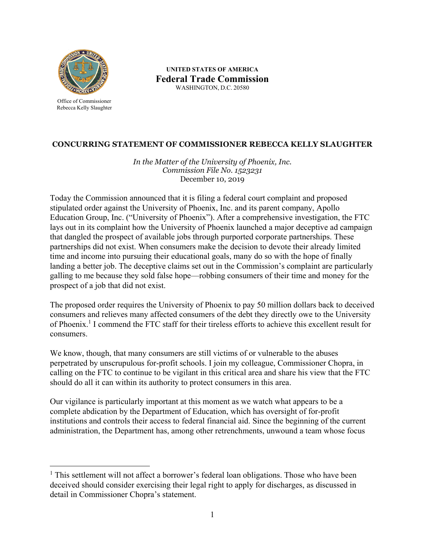

Office of Commissioner Rebecca Kelly Slaughter

 $\overline{a}$ 

**UNITED STATES OF AMERICA Federal Trade Commission**  WASHINGTON, D.C. 20580

## **CONCURRING STATEMENT OF COMMISSIONER REBECCA KELLY SLAUGHTER**

*In the Matter of the University of Phoenix, Inc. Commission File No. 1523231* December 10, 2019

Today the Commission announced that it is filing a federal court complaint and proposed stipulated order against the University of Phoenix, Inc. and its parent company, Apollo Education Group, Inc. ("University of Phoenix"). After a comprehensive investigation, the FTC lays out in its complaint how the University of Phoenix launched a major deceptive ad campaign that dangled the prospect of available jobs through purported corporate partnerships. These partnerships did not exist. When consumers make the decision to devote their already limited time and income into pursuing their educational goals, many do so with the hope of finally landing a better job. The deceptive claims set out in the Commission's complaint are particularly galling to me because they sold false hope—robbing consumers of their time and money for the prospect of a job that did not exist.

The proposed order requires the University of Phoenix to pay 50 million dollars back to deceived consumers and relieves many affected consumers of the debt they directly owe to the University of Phoenix. 1 I commend the FTC staff for their tireless efforts to achieve this excellent result for consumers.

We know, though, that many consumers are still victims of or vulnerable to the abuses perpetrated by unscrupulous for-profit schools. I join my colleague, Commissioner Chopra, in calling on the FTC to continue to be vigilant in this critical area and share his view that the FTC should do all it can within its authority to protect consumers in this area.

Our vigilance is particularly important at this moment as we watch what appears to be a complete abdication by the Department of Education, which has oversight of for-profit institutions and controls their access to federal financial aid. Since the beginning of the current administration, the Department has, among other retrenchments, unwound a team whose focus

<sup>&</sup>lt;sup>1</sup> This settlement will not affect a borrower's federal loan obligations. Those who have been deceived should consider exercising their legal right to apply for discharges, as discussed in detail in Commissioner Chopra's statement.